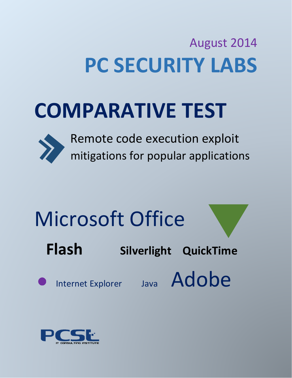## August 2014 **PC SECURITY LABS**

## **COMPARATIVE TEST**



 Remote code execution exploit mitigations for popular applications

# Microsoft Office

**Flash Silverlight QuickTime** 



Internet Explorer Java Adobe

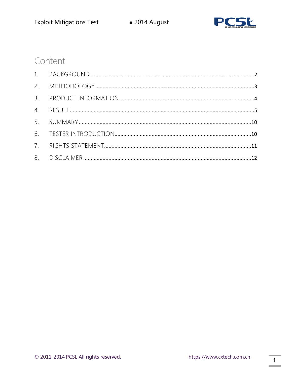

### Content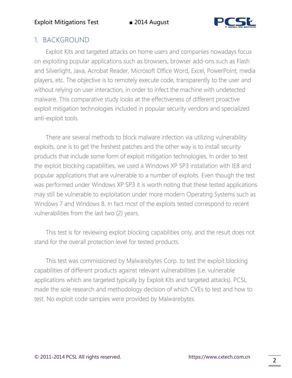

### 1. BACKGROUND

Exploit Kits and targeted attacks on home users and companies nowadays focus on exploiting popular applications such as browsers, browser add-ons such as Flash and Silverlight, Java, Acrobat Reader, Microsoft Office Word, Excel, PowerPoint, media players, etc. The objective is to remotely execute code, transparently to the user and without relying on user interaction, in order to infect the machine with undetected malware. This comparative study looks at the effectiveness of different proactive exploit mitigation technologies included in popular security vendors and specialized anti-exploit tools.

There are several methods to block malware infection via utilizing vulnerability exploits, one is to get the freshest patches and the other way is to install security products that include some form of exploit mitigation technologies. In order to test the exploit blocking capabilities, we used a Windows XP SP3 installation with IE8 and popular applications that are vulnerable to a number of exploits. Even though the test was performed under Windows XP SP3 it is worth noting that these tested applications may still be vulnerable to exploitation under more modern Operating Systems such as Windows 7 and Windows 8. In fact most of the exploits tested correspond to recent vulnerabilities from the last two (2) years.

This test is for reviewing exploit blocking capabilities only, and the result does not stand for the overall protection level for tested products.

This test was commissioned by Malwarebytes Corp. to test the exploit blocking capabilities of different products against relevant vulnerabilities (i.e. vulnerable applications which are targeted typically by Exploit Kits and targeted attacks). PCSL made the sole research and methodology decision of which CVEs to test and how to test. No exploit code samples were provided by Malwarebytes.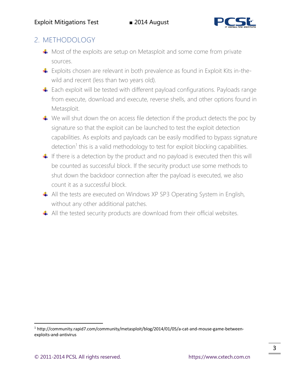

### 2. METHODOLOGY

- $\uparrow$  Most of the exploits are setup on Metasploit and some come from private sources.
- Exploits chosen are relevant in both prevalence as found in Exploit Kits in-thewild and recent (less than two years old).
- Each exploit will be tested with different payload configurations. Payloads range from execute, download and execute, reverse shells, and other options found in Metasploit.
- $\ddot{\bullet}$  We will shut down the on access file detection if the product detects the poc by signature so that the exploit can be launched to test the exploit detection capabilities. As exploits and payloads can be easily modified to bypass signature detection<sup>1</sup> this is a valid methodology to test for exploit blocking capabilities.
- $\downarrow$  If there is a detection by the product and no payload is executed then this will be counted as successful block. If the security product use some methods to shut down the backdoor connection after the payload is executed, we also count it as a successful block.
- $\triangleq$  All the tests are executed on Windows XP SP3 Operating System in English, without any other additional patches.
- $\triangleq$  All the tested security products are download from their official websites.

 $\overline{a}$ 

<sup>&</sup>lt;sup>1</sup> http://community.rapid7.com/community/metasploit/blog/2014/01/05/a-cat-and-mouse-game-betweenexploits-and-antivirus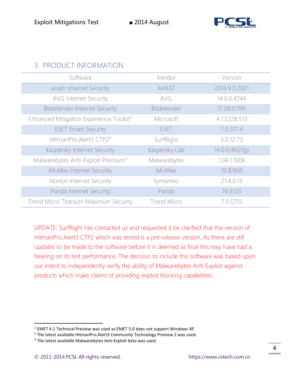

### 3. PRODUCT INFORMATION

| Software                                            | Vendor             | Version        |
|-----------------------------------------------------|--------------------|----------------|
| avast! Internet Security                            | AVAST              | 2014.9.0.2021  |
| AVG Internet Security                               | AVG                | 14.0.0.4744    |
| <b>Bitdefender Internet Security</b>                | Bitdefender        | 17.28.0.1191   |
| Enhanced Mitigation Experience Toolkit <sup>2</sup> | Microsoft          | 4.1.5228.513   |
| <b>ESET Smart Security</b>                          | <b>ESET</b>        | 7.0.317.4      |
| HitmanPro.Alert3 CTP23                              | SurfRight          | 3.0.12.73      |
| Kaspersky Internet Security                         | Kaspersky Lab      | 14.0.0.4651(q) |
| Malwarebytes Anti-Exploit Premium <sup>4</sup>      | Malwarebytes       | 1.04.1.1006    |
| McAfee Internet Security                            | McAfee             | 12.8.958       |
| Norton Internet Security                            | Symantec           | 21.4.0.13      |
| Panda Internet Security                             | Panda              | 19.01.01       |
| Trend Micro Titanium Maximum Security               | <b>Trend Micro</b> | 7.0.1255       |

UPDATE: SurfRight has contacted us and requested it be clarified that the version of HitmanPro.Alert3 CTP2 which was tested is a pre-release version. As there are still updates to be made to the software before it is deemed as final this may have had a bearing on its test performance. The decision to include this software was based upon our intent to independently verify the ability of Malwarebytes Anti-Exploit against products which make claims of providing exploit blocking capabilities.

 $\overline{a}$ 

 $2$  EMET 4.1 Technical Preview was used as EMET 5.0 does not support Windows XP.

<sup>&</sup>lt;sup>3</sup> The latest available HitmanPro.Alert3 Community Technology Preview 2 was used.

<sup>&</sup>lt;sup>4</sup> The latest available Malwarebytes Anti-Exploit beta was used.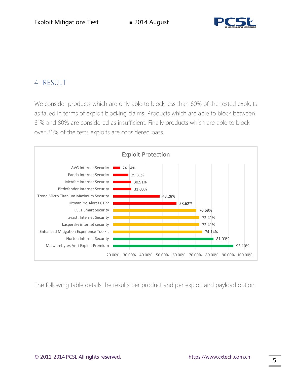

### 4. RESULT

We consider products which are only able to block less than 60% of the tested exploits as failed in terms of exploit blocking claims. Products which are able to block between 61% and 80% are considered as insufficient. Finally products which are able to block over 80% of the tests exploits are considered pass.



The following table details the results per product and per exploit and payload option.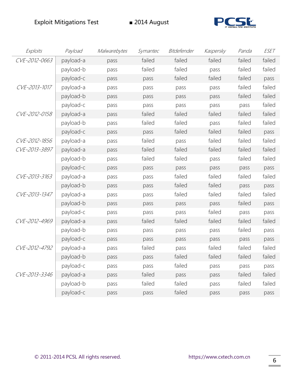

| Exploits      | Payload   | Malwarebytes | Symantec | Bitdefender | Kaspersky | Panda  | <b>ESET</b> |
|---------------|-----------|--------------|----------|-------------|-----------|--------|-------------|
| CVE-2012-0663 | payload-a | pass         | failed   | failed      | failed    | failed | failed      |
|               | payload-b | pass         | failed   | failed      | pass      | failed | failed      |
|               | payload-c | pass         | pass     | failed      | failed    | failed | pass        |
| CVE-2013-1017 | payload-a | pass         | pass     | pass        | pass      | failed | failed      |
|               | payload-b | pass         | pass     | pass        | pass      | failed | failed      |
|               | payload-c | pass         | pass     | pass        | pass      | pass   | failed      |
| CVE-2012-0158 | payload-a | pass         | failed   | failed      | failed    | failed | failed      |
|               | payload-b | pass         | failed   | failed      | pass      | failed | failed      |
|               | payload-c | pass         | pass     | failed      | failed    | failed | pass        |
| CVE-2012-1856 | payload-a | pass         | failed   | pass        | failed    | failed | failed      |
| CVE-2013-3897 | payload-a | pass         | failed   | failed      | failed    | failed | failed      |
|               | payload-b | pass         | failed   | failed      | pass      | failed | failed      |
|               | payload-c | pass         | pass     | pass        | pass      | pass   | pass        |
| CVE-2013-3163 | payload-a | pass         | pass     | failed      | failed    | failed | failed      |
|               | payload-b | pass         | pass     | failed      | failed    | pass   | pass        |
| CVE-2013-1347 | payload-a | pass         | pass     | failed      | failed    | failed | failed      |
|               | payload-b | pass         | pass     | pass        | pass      | failed | pass        |
|               | payload-c | pass         | pass     | pass        | failed    | pass   | pass        |
| CVE-2012-4969 | payload-a | pass         | failed   | failed      | failed    | failed | failed      |
|               | payload-b | pass         | pass     | pass        | pass      | failed | pass        |
|               | payload-c | pass         | pass     | pass        | pass      | pass   | pass        |
| CVE-2012-4792 | payload-a | pass         | failed   | pass        | failed    | failed | failed      |
|               | payload-b | pass         | pass     | failed      | failed    | failed | failed      |
|               | payload-c | pass         | pass     | failed      | pass      | pass   | pass        |
| CVE-2013-3346 | payload-a | pass         | failed   | pass        | pass      | failed | failed      |
|               | payload-b | pass         | failed   | failed      | pass      | failed | failed      |
|               | payload-c | pass         | pass     | failed      | pass      | pass   | pass        |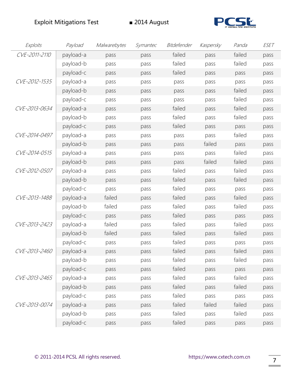

| Exploits      | Payload   | Malwarebytes | Symantec | Bitdefender | Kaspersky | Panda  | ESET |
|---------------|-----------|--------------|----------|-------------|-----------|--------|------|
| CVE-2011-2110 | payload-a | pass         | pass     | failed      | pass      | failed | pass |
|               | payload-b | pass         | pass     | failed      | pass      | failed | pass |
|               | payload-c | pass         | pass     | failed      | pass      | pass   | pass |
| CVE-2012-1535 | payload-a | pass         | pass     | pass        | pass      | pass   | pass |
|               | payload-b | pass         | pass     | pass        | pass      | failed | pass |
|               | payload-c | pass         | pass     | pass        | pass      | failed | pass |
| CVE-2013-0634 | payload-a | pass         | pass     | failed      | pass      | failed | pass |
|               | payload-b | pass         | pass     | failed      | pass      | failed | pass |
|               | payload-c | pass         | pass     | failed      | pass      | pass   | pass |
| CVE-2014-0497 | payload-a | pass         | pass     | pass        | pass      | failed | pass |
|               | payload-b | pass         | pass     | pass        | failed    | pass   | pass |
| CVE-2014-0515 | payload-a | pass         | pass     | pass        | pass      | failed | pass |
|               | payload-b | pass         | pass     | pass        | failed    | failed | pass |
| CVE-2012-0507 | payload-a | pass         | pass     | failed      | pass      | failed | pass |
|               | payload-b | pass         | pass     | failed      | pass      | failed | pass |
|               | payload-c | pass         | pass     | failed      | pass      | pass   | pass |
| CVE-2013-1488 | payload-a | failed       | pass     | failed      | pass      | failed | pass |
|               | payload-b | failed       | pass     | failed      | pass      | failed | pass |
|               | payload-c | pass         | pass     | failed      | pass      | pass   | pass |
| CVE-2013-2423 | payload-a | failed       | pass     | failed      | pass      | failed | pass |
|               | payload-b | failed       | pass     | failed      | pass      | failed | pass |
|               | payload-c | pass         | pass     | failed      | pass      | pass   | pass |
| CVE-2013-2460 | payload-a | pass         | pass     | failed      | pass      | failed | pass |
|               | payload-b | pass         | pass     | failed      | pass      | failed | pass |
|               | payload-c | pass         | pass     | failed      | pass      | pass   | pass |
| CVE-2013-2465 | payload-a | pass         | pass     | failed      | pass      | failed | pass |
|               | payload-b | pass         | pass     | failed      | pass      | failed | pass |
|               | payload-c | pass         | pass     | failed      | pass      | pass   | pass |
| CVE-2013-0074 | payload-a | pass         | pass     | failed      | failed    | failed | pass |
|               | payload-b | pass         | pass     | failed      | pass      | failed | pass |
|               | payload-c | pass         | pass     | failed      | pass      | pass   | pass |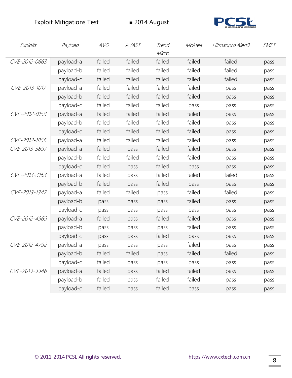

| Exploits      | Payload   | AVG    | AVAST  | Trend<br>Micro | McAfee | Hitmanpro. Alert3 | EMET |
|---------------|-----------|--------|--------|----------------|--------|-------------------|------|
| CVE-2012-0663 | payload-a | failed | failed | failed         | failed | failed            | pass |
|               | payload-b | failed | failed | failed         | failed | failed            | pass |
|               | payload-c | failed | failed | failed         | failed | failed            | pass |
| CVE-2013-1017 | payload-a | failed | failed | failed         | failed | pass              | pass |
|               | payload-b | failed | failed | failed         | failed | pass              | pass |
|               | payload-c | failed | failed | failed         | pass   | pass              | pass |
| CVE-2012-0158 | payload-a | failed | failed | failed         | failed | pass              | pass |
|               | payload-b | failed | failed | failed         | failed | pass              | pass |
|               | payload-c | failed | failed | failed         | failed | pass              | pass |
| CVE-2012-1856 | payload-a | failed | failed | failed         | failed | pass              | pass |
| CVE-2013-3897 | payload-a | failed | pass   | failed         | failed | pass              | pass |
|               | payload-b | failed | failed | failed         | failed | pass              | pass |
|               | payload-c | failed | pass   | failed         | pass   | pass              | pass |
| CVE-2013-3163 | payload-a | failed | pass   | failed         | failed | failed            | pass |
|               | payload-b | failed | pass   | failed         | pass   | pass              | pass |
| CVE-2013-1347 | payload-a | failed | failed | pass           | failed | failed            | pass |
|               | payload-b | pass   | pass   | pass           | failed | pass              | pass |
|               | payload-c | pass   | pass   | pass           | pass   | pass              | pass |
| CVE-2012-4969 | payload-a | failed | pass   | failed         | failed | pass              | pass |
|               | payload-b | pass   | pass   | pass           | failed | pass              | pass |
|               | payload-c | pass   | pass   | failed         | pass   | pass              | pass |
| CVE-2012-4792 | payload-a | pass   | pass   | pass           | failed | pass              | pass |
|               | payload-b | failed | failed | pass           | failed | failed            | pass |
|               | payload-c | failed | pass   | pass           | pass   | pass              | pass |
| CVE-2013-3346 | payload-a | failed | pass   | failed         | failed | pass              | pass |
|               | payload-b | failed | pass   | failed         | failed | pass              | pass |
|               | payload-c | failed | pass   | failed         | pass   | pass              | pass |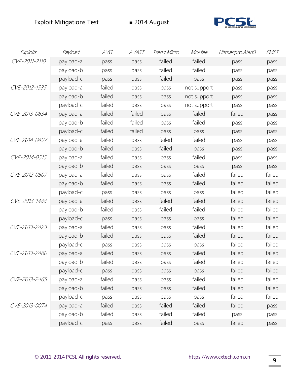

| Exploits      | Payload   | AVG    | AVAST  | Trend Micro | McAfee      | Hitmanpro. Alert3 | EMET   |
|---------------|-----------|--------|--------|-------------|-------------|-------------------|--------|
| CVE-2011-2110 | payload-a | pass   | pass   | failed      | failed      | pass              | pass   |
|               | payload-b | pass   | pass   | failed      | failed      | pass              | pass   |
|               | payload-c | pass   | pass   | failed      | pass        | pass              | pass   |
| CVE-2012-1535 | payload-a | failed | pass   | pass        | not support | pass              | pass   |
|               | payload-b | failed | pass   | pass        | not support | pass              | pass   |
|               | payload-c | failed | pass   | pass        | not support | pass              | pass   |
| CVE-2013-0634 | payload-a | failed | failed | pass        | failed      | failed            | pass   |
|               | payload-b | failed | failed | pass        | failed      | pass              | pass   |
|               | payload-c | failed | failed | pass        | pass        | pass              | pass   |
| CVE-2014-0497 | payload-a | failed | pass   | failed      | failed      | pass              | pass   |
|               | payload-b | failed | pass   | failed      | pass        | pass              | pass   |
| CVE-2014-0515 | payload-a | failed | pass   | pass        | failed      | pass              | pass   |
|               | payload-b | failed | pass   | pass        | pass        | pass              | pass   |
| CVE-2012-0507 | payload-a | failed | pass   | pass        | failed      | failed            | failed |
|               | payload-b | failed | pass   | pass        | failed      | failed            | failed |
|               | payload-c | pass   | pass   | pass        | pass        | failed            | failed |
| CVE-2013-1488 | payload-a | failed | pass   | failed      | failed      | failed            | failed |
|               | payload-b | failed | pass   | failed      | failed      | failed            | failed |
|               | payload-c | pass   | pass   | pass        | pass        | failed            | failed |
| CVE-2013-2423 | payload-a | failed | pass   | pass        | failed      | failed            | failed |
|               | payload-b | failed | pass   | pass        | failed      | failed            | failed |
|               | payload-c | pass   | pass   | pass        | pass        | failed            | failed |
| CVE-2013-2460 | payload-a | failed | pass   | pass        | failed      | failed            | failed |
|               | payload-b | failed | pass   | pass        | failed      | failed            | failed |
|               | payload-c | pass   | pass   | pass        | pass        | failed            | failed |
| CVE-2013-2465 | payload-a | failed | pass   | pass        | failed      | failed            | failed |
|               | payload-b | failed | pass   | pass        | failed      | failed            | failed |
|               | payload-c | pass   | pass   | pass        | pass        | failed            | failed |
| CVE-2013-0074 | payload-a | failed | pass   | failed      | failed      | failed            | pass   |
|               | payload-b | failed | pass   | failed      | failed      | pass              | pass   |
|               | payload-c | pass   | pass   | failed      | pass        | failed            | pass   |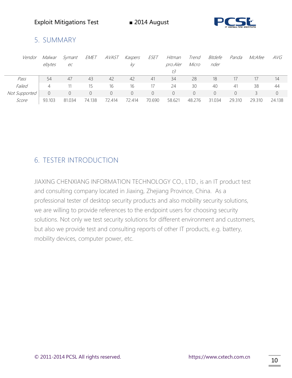

### 5. SUMMARY

| Vendor        | Malwar | Symant | <i>EMET</i> | AVAST  | Kaspers  | ESET           | Hitman   | Trend    | Bitdefe  | Panda    | McAfee | AVG      |
|---------------|--------|--------|-------------|--------|----------|----------------|----------|----------|----------|----------|--------|----------|
|               | ebytes | ec     |             |        | ky.      |                | pro.Aler | Micro    | nder     |          |        |          |
|               |        |        |             |        |          |                | 73       |          |          |          |        |          |
| Pass          | 54     | 47     | 43          | 42     | 42       | 41             | 34       | 28       | 18       | 17       |        | 14       |
| Failed        | 4      |        | 15          | 16     | 16       | 17             | 24       | 30       | 40       | 41       | 38     | 44       |
| Not Supported |        |        | $\Omega$    | 0      | $\Omega$ | $\overline{0}$ | $\Omega$ | $\Omega$ | $\Omega$ | $\Omega$ |        | $\Omega$ |
| Score         | 93.103 | 81.034 | 74.138      | 72.414 | 72.414   | 70.690         | 58.621   | 48.276   | 31.034   | 29.310   | 29.310 | 24.138   |

### 6. TESTER INTRODUCTION

JIAXING CHENXIANG INFORMATION TECHNOLOGY CO., LTD., is an IT product test and consulting company located in Jiaxing, Zhejiang Province, China. As a professional tester of desktop security products and also mobility security solutions, we are willing to provide references to the endpoint users for choosing security solutions. Not only we test security solutions for different environment and customers, but also we provide test and consulting reports of other IT products, e.g. battery, mobility devices, computer power, etc.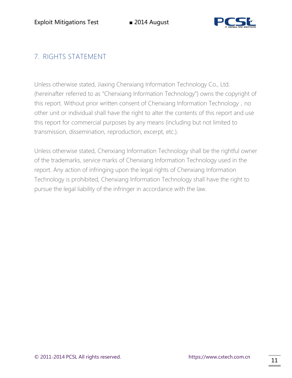

### 7. RIGHTS STATEMENT

Unless otherwise stated, Jiaxing Chenxiang Information Technology Co., Ltd. (hereinafter referred to as "Chenxiang Information Technology") owns the copyright of this report. Without prior written consent of Chenxiang Information Technology, no other unit or individual shall have the right to alter the contents of this report and use this report for commercial purposes by any means (including but not limited to transmission, dissemination, reproduction, excerpt, etc.).

Unless otherwise stated, Chenxiang Information Technology shall be the rightful owner of the trademarks, service marks of Chenxiang Information Technology used in the report. Any action of infringing upon the legal rights of Chenxiang Information Technology is prohibited, Chenxiang Information Technology shall have the right to pursue the legal liability of the infringer in accordance with the law.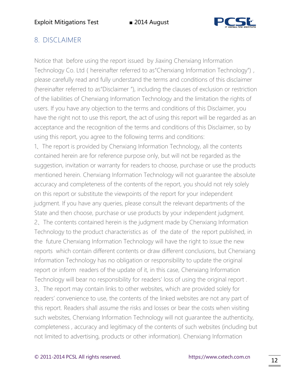

### 8. DISCLAIMER

Notice that before using the report issued by Jiaxing Chenxiang Information Technology Co. Ltd (hereinafter referred to as"Chenxiang Information Technology"), please carefully read and fully understand the terms and conditions of this disclaimer (hereinafter referred to as"Disclaimer "), including the clauses of exclusion or restriction of the liabilities of Chenxiang Information Technology and the limitation the rights of users. If you have any objection to the terms and conditions of this Disclaimer, you have the right not to use this report, the act of using this report will be regarded as an acceptance and the recognition of the terms and conditions of this Disclaimer, so by using this report, you agree to the following terms and conditions:

1、The report is provided by Chenxiang Information Technology, all the contents contained herein are for reference purpose only, but will not be regarded as the suggestion, invitation or warranty for readers to choose, purchase or use the products mentioned herein. Chenxiang Information Technology will not guarantee the absolute accuracy and completeness of the contents of the report, you should not rely solely on this report or substitute the viewpoints of the report for your independent judgment. If you have any queries, please consult the relevant departments of the State and then choose, purchase or use products by your independent judgment. 2、The contents contained herein is the judgment made by Chenxiang Information Technology to the product characteristics as of the date of the report published, in the future Chenxiang Information Technology will have the right to issue the new reports which contain different contents or draw different conclusions, but Chenxiang Information Technology has no obligation or responsibility to update the original report or inform readers of the update of it, in this case, Chenxiang Information Technology will bear no responsibility for readers' loss of using the original report . 3、The report may contain links to other websites, which are provided solely for readers' convenience to use, the contents of the linked websites are not any part of this report. Readers shall assume the risks and losses or bear the costs when visiting such websites, Chenxiang Information Technology will not guarantee the authenticity, completeness , accuracy and legitimacy of the contents of such websites (including but not limited to advertising, products or other information). Chenxiang Information